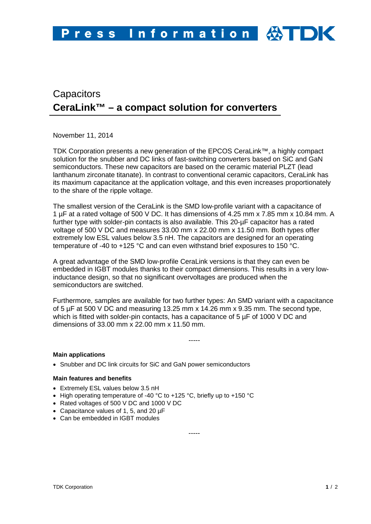# **Capacitors CeraLink™ – a compact solution for converters**

November 11, 2014

TDK Corporation presents a new generation of the EPCOS CeraLink™, a highly compact solution for the snubber and DC links of fast-switching converters based on SiC and GaN semiconductors. These new capacitors are based on the ceramic material PLZT (lead lanthanum zirconate titanate). In contrast to conventional ceramic capacitors, CeraLink has its maximum capacitance at the application voltage, and this even increases proportionately to the share of the ripple voltage.

The smallest version of the CeraLink is the SMD low-profile variant with a capacitance of 1 µF at a rated voltage of 500 V DC. It has dimensions of 4.25 mm x 7.85 mm x 10.84 mm. A further type with solder-pin contacts is also available. This 20-µF capacitor has a rated voltage of 500 V DC and measures 33.00 mm x 22.00 mm x 11.50 mm. Both types offer extremely low ESL values below 3.5 nH. The capacitors are designed for an operating temperature of -40 to +125 °C and can even withstand brief exposures to 150 °C.

A great advantage of the SMD low-profile CeraLink versions is that they can even be embedded in IGBT modules thanks to their compact dimensions. This results in a very lowinductance design, so that no significant overvoltages are produced when the semiconductors are switched.

Furthermore, samples are available for two further types: An SMD variant with a capacitance of 5 µF at 500 V DC and measuring 13.25 mm x 14.26 mm x 9.35 mm. The second type, which is fitted with solder-pin contacts, has a capacitance of 5  $\mu$ F of 1000 V DC and dimensions of 33.00 mm x 22.00 mm x 11.50 mm.

-----

## **Main applications**

• Snubber and DC link circuits for SiC and GaN power semiconductors

## **Main features and benefits**

- Extremely ESL values below 3.5 nH
- High operating temperature of -40 °C to +125 °C, briefly up to +150 °C
- Rated voltages of 500 V DC and 1000 V DC
- Capacitance values of 1, 5, and 20 µF
- Can be embedded in IGBT modules

-----